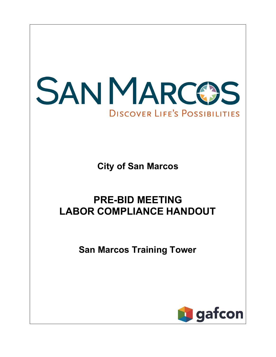

**City of San Marcos**

# **PRE-BID MEETING LABOR COMPLIANCE HANDOUT**

**San Marcos Training Tower**

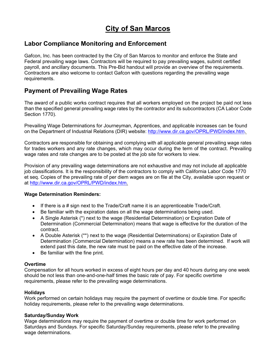## **City of San Marcos**

## **Labor Compliance Monitoring and Enforcement**

Gafcon, Inc. has been contracted by the City of San Marcos to monitor and enforce the State and Federal prevailing wage laws. Contractors will be required to pay prevailing wages, submit certified payroll, and ancillary documents. This Pre-Bid handout will provide an overview of the requirements. Contractors are also welcome to contact Gafcon with questions regarding the prevailing wage requirements.

## **Payment of Prevailing Wage Rates**

The award of a public works contract requires that all workers employed on the project be paid not less than the specified general prevailing wage rates by the contractor and its subcontractors (CA Labor Code Section 1770).

Prevailing Wage Determinations for Journeyman, Apprentices, and applicable increases can be found on the Department of Industrial Relations (DIR) website: [http://www.dir.ca.gov/OPRL/PWD/index.htm.](http://www.dir.ca.gov/OPRL/PWD/index.htm)

Contractors are responsible for obtaining and complying with all applicable general prevailing wage rates for trades workers and any rate changes, which may occur during the term of the contract. Prevailing wage rates and rate changes are to be posted at the job site for workers to view.

Provision of any prevailing wage determinations are not exhaustive and may not include all applicable job classifications. It is the responsibility of the contractors to comply with California Labor Code 1770 et seq. Copies of the prevailing rate of per diem wages are on file at the City, available upon request or at [http://www.dir.ca.gov/OPRL/PWD/index.htm.](http://www.dir.ca.gov/OPRL/PWD/index.htm)

#### **Wage Determination Reminders:**

- If there is a # sign next to the Trade/Craft name it is an apprenticeable Trade/Craft.
- Be familiar with the expiration dates on all the wage determinations being used.
- A Single Asterisk (\*) next to the wage (Residential Determination) or Expiration Date of Determination (Commercial Determination) means that wage is effective for the duration of the contract.
- A Double Asterisk (\*\*) next to the wage (Residential Determinations) or Expiration Date of Determination (Commercial Determination) means a new rate has been determined. If work will extend past this date, the new rate must be paid on the effective date of the increase.
- Be familiar with the fine print.

#### **Overtime**

Compensation for all hours worked in excess of eight hours per day and 40 hours during any one week should be not less than one-and-one-half times the basic rate of pay. For specific overtime requirements, please refer to the prevailing wage determinations.

## **Holidays**

Work performed on certain holidays may require the payment of overtime or double time. For specific holiday requirements, please refer to the prevailing wage determinations.

#### **Saturday/Sunday Work**

Wage determinations may require the payment of overtime or double time for work performed on Saturdays and Sundays. For specific Saturday/Sunday requirements, please refer to the prevailing wage determinations.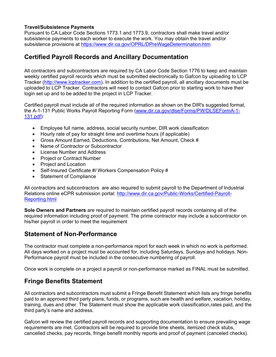#### **Travel/Subsistence Payments**

Pursuant to CA Labor Code Sections 1773.1 and 1773.9, contractors shall make travel and/or subsistence payments to each worker to execute the work. You may obtain the travel and/or subsistence provisions at https:/[/www.dir.ca.gov/OPRL/DPreWageDetermination.htm](http://www.dir.ca.gov/OPRL/DPreWageDetermination.htm)

## **Certified Payroll Records and Ancillary Documentation**

All contractors and subcontractors are required by CA Labor Code Section 1776 to keep and maintain weekly certified payroll records which must be submitted electronically to Gafcon by uploading to LCP Tracker (http://www.lcptracker.com). In addition to the certified payroll, all ancillary documents must be uploaded to LCP Tracker. Contractors will need to contact Gafcon prior to starting work to have their login set up and to be added to the project in LCP Tracker.

Certified payroll must include all of the required information as shown on the DIR's suggested format, the A-1-131 Public Works Payroll Reporting Form [\(www.dir.ca.gov/dlse/Forms/PW/DLSEFormA-1-](http://www.dir.ca.gov/dlse/Forms/PW/DLSEFormA-1-) 131.pdf):

- Employee full name, address, social security number, DIR work classification
- Hourly rate of pay for straight time and overtime hours (if applicable)
- Gross Amount Earned, Deductions, Contributions, Net Amount, Check #
- Name of Contractor or Subcontractor
- License Number and Address
- Project or Contract Number
- Project and Location
- Self-Insured Certificate #*I* Workers Compensation Policy #
- Statement of Compliance

All contractors and subcontractors are also required to submit payroll to the Department of Industrial Relations online eCPR submission portal:<http://www.dir.ca.gov/Public-Works/Certified-Payroll->Reporting.html

**Sole Owners and Partners** are required to maintain certified payroll records containing all of the required information including proof of payment. The prime contractor may include a subcontractor on his/her payroll in order to meet the requirement

## **Statement of Non-Performance**

The contractor must complete a non-performance report for each week in which no work is performed. All days worked on a project must be accounted for, including Saturdays, Sundays and holidays. Non-Performance payroll must be included in the consecutive numbering of payroll.

Once work is complete on a project a payroll or non-performance marked as FINAL must be submitted.

## **Fringe Benefits Statement**

All contractors and subcontractors must submit a Fringe Benefit Statement which lists any fringe benefits paid to an approved third party plans, funds, or programs, such are health and welfare, vacation, holiday, training, dues and other. The Statement must show the applicable work classification,rates paid, and the third party's name and address.

Gafcon will review the certified payroll records and supporting documentation to ensure prevailing wage requirements are met. Contractors will be required to provide time sheets, itemized check stubs, cancelled checks, pay records, fringe benefit monthly reports and proof of payment (canceled checks).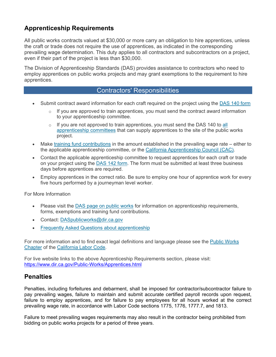## **Apprenticeship Requirements**

All public works contracts valued at \$30,000 or more carry an obligation to hire apprentices, unless the craft or trade does not require the use of apprentices, as indicated in the corresponding prevailing wage determination. This duty applies to all contractors and subcontractors on a project, even if their part of the project is less than \$30,000.

The Division of Apprenticeship Standards (DAS) provides assistance to contractors who need to employ apprentices on public works projects and may grant exemptions to the requirement to hire apprentices.

## Contractors' Responsibilities

- Submit contract award information for each craft required on the project using the DAS 140 form
	- $\circ$  If you are approved to train apprentices, you must send the contract award information to your apprenticeship committee.
	- $\circ$  If you are not approved to train apprentices, you must send the DAS 140 to all apprenticeship committees that can supply apprentices to the site of the public works project.
- Make training fund contributions in the amount established in the prevailing wage rate either to the applicable apprenticeship committee, or the California Apprenticeship Council (CAC).
- Contact the applicable apprenticeship committee to request apprentices for each craft or trade on your project using the **DAS 142 form.** The form must be submitted at least three business days before apprentices are required.
- Employ apprentices in the correct ratio. Be sure to employ one hour of apprentice work for every five hours performed by a journeyman level worker.

For More Information

- Please visit the DAS page on public works for information on apprenticeship requirements, forms, exemptions and training fund contributions.
- Contact: [DASpublicworks@dir.ca.gov](mailto:DASpublicworks@dir.ca.gov)
- Frequently Asked Questions about apprenticeship

For more information and to find exact legal definitions and language please see the Public Works Chapter of the California Labor Code.

For live website links to the above Apprenticeship Requirements section, please visit: https:/[/www.dir.ca.gov/Public-Works/Apprentices.html](http://www.dir.ca.gov/Public-Works/Apprentices.html)

## **Penalties**

Penalties, including forfeitures and debarment, shall be imposed for contractor/subcontractor failure to pay prevailing wages, failure to maintain and submit accurate certified payroll records upon request, failure to employ apprentices, and for failure to pay employees for all hours worked at the correct prevailing wage rate, in accordance with Labor Code sections 1775, 1776, 1777.7, and 1813.

Failure to meet prevailing wages requirements may also result in the contractor being prohibited from bidding on public works projects for a period of three years.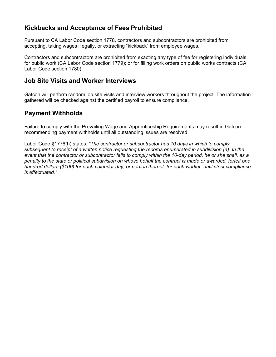## **Kickbacks and Acceptance of Fees Prohibited**

Pursuant to CA Labor Code section 1778, contractors and subcontractors are prohibited from accepting, taking wages illegally, or extracting "kickback" from employee wages.

Contractors and subcontractors are prohibited from exacting any type of fee for registering individuals for public work (CA Labor Code section 1779); or for filling work orders on public works contracts (CA Labor Code section 1780).

## **Job Site Visits and Worker Interviews**

Gafcon will perform random job site visits and interview workers throughout the project. The information gathered will be checked against the certified payroll to ensure compliance.

## **Payment Withholds**

Failure to comply with the Prevailing Wage and Apprenticeship Requirements may result in Gafcon recommending payment withholds until all outstanding issues are resolved.

Labor Code §1776(h) states: *"The contractor or subcontractor has 10 days in which to comply subsequent to receipt of a written notice requesting the records enumerated in subdivision (a). In the event that the contractor or subcontractor fails to comply within the 10-day period, he or she shall, as a penalty to the state or political subdivision on whose behalf the contract is made or awarded, forfeit one hundred dollars (\$100) for each calendar day, or portion thereof, for each worker, until strict compliance is effectuated."*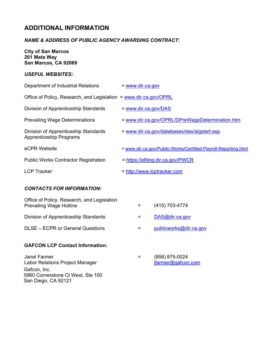## **ADDITIONAL INFORMATION**

#### *NAME & ADDRESS OF PUBLIC AGENCY AWARDING CONTRACT***:**

**City of San Marcos 201 Mata Way San Marcos, CA 92069**

#### *USEFUL WEBSITES:*

| Department of Industrial Relations                                     | $=$ www.dir.ca.gov                                             |
|------------------------------------------------------------------------|----------------------------------------------------------------|
| Office of Policy, Research, and Legislation = www.dir.ca.gov/OPRL      |                                                                |
| Division of Apprenticeship Standards                                   | $=$ www.dir.ca.gov/DAS                                         |
| <b>Prevailing Wage Determinations</b>                                  | = www.dir.ca.gov/OPRL/DPreWageDetermination.htm                |
| Division of Apprenticeship Standards<br><b>Apprenticeship Programs</b> | = www.dir.ca.gov/databases/das/aigstart.asp                    |
| eCPR Website                                                           | = www.dir.ca.gov/Public-Works/Certified-Payroll-Reporting.html |
| <b>Public Works Contractor Registration</b>                            | = https://efiling.dir.ca.gov/PWCR                              |
| <b>LCP Tracker</b>                                                     | = http://www.lcptracker.com                                    |

## *CONTACTS FOR INFORMATION:*

| Office of Policy, Research, and Legislation<br><b>Prevailing Wage Hotline</b> | (415) 703-4774         |
|-------------------------------------------------------------------------------|------------------------|
| Division of Apprenticeship Standards                                          | DAS@dir.ca.gov         |
| DLSE – ECPR or General Questions                                              | publicworks@dir.ca.gov |
|                                                                               |                        |

#### **GAFCON LCP Contact Information:**

Janel Farmer Labor Relations Project Manager Gafcon, Inc. 5960 Cornerstone Ct West, Ste 100 San Diego, CA 92121

= (858) 875-0024 [jfarmer@gafcon.com](mailto:jfarmer@gafcon.com)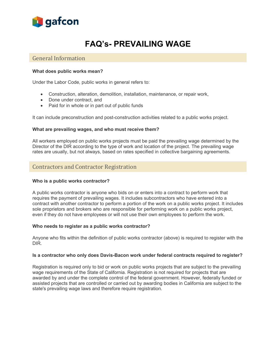

# **FAQ's- PREVAILING WAGE**

#### General Information

#### **What does public works mean?**

Under the Labor Code, public works in general refers to:

- Construction, alteration, demolition, installation, maintenance, or repair work,
- Done under contract, and
- Paid for in whole or in part out of public funds

It can include preconstruction and post-construction activities related to a public works project.

#### **What are prevailing wages, and who must receive them?**

All workers employed on public works projects must be paid the prevailing wage determined by the Director of the DIR according to the type of work and location of the project. The prevailing wage rates are usually, but not always, based on rates specified in collective bargaining agreements.

#### Contractors and Contractor Registration

#### **Who is a public works contractor?**

A public works contractor is anyone who bids on or enters into a contract to perform work that requires the payment of prevailing wages. It includes subcontractors who have entered into a contract with another contractor to perform a portion of the work on a public works project. It includes sole proprietors and brokers who are responsible for performing work on a public works project, even if they do not have employees or will not use their own employees to perform the work.

#### **Who needs to register as a public works contractor?**

Anyone who fits within the definition of public works contractor (above) is required to register with the DIR.

#### **Is a contractor who only does Davis-Bacon work under federal contracts required to register?**

Registration is required only to bid or work on public works projects that are subject to the prevailing wage requirements of the State of California. Registration is not required for projects that are awarded by and under the complete control of the federal government. However, federally funded or assisted projects that are controlled or carried out by awarding bodies in California are subject to the state's prevailing wage laws and therefore require registration.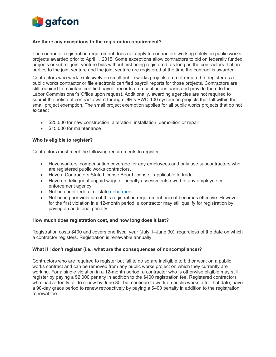

#### **Are there any exceptions to the registration requirement?**

The contractor registration requirement does not apply to contractors working solely on public works projects awarded prior to April 1, 2015. Some exceptions allow contractors to bid on federally funded projects or submit joint venture bids without first being registered, as long as the contractors that are parties to the joint venture and the joint venture are registered at the time the contract is awarded.

Contractors who work exclusively on small public works projects are not required to register as a public works contractor or file electronic certified payroll reports for those projects. Contractors are still required to maintain certified payroll records on a continuous basis and provide them to the Labor Commissioner's Office upon request. Additionally, awarding agencies are not required to submit the notice of contract award through DIR's PWC-100 system on projects that fall within the small project exemption. The small project exemption applies for all public works projects that do not exceed:

- \$25,000 for new construction, alteration, installation, demolition or repair
- \$15,000 for maintenance

#### **Who is eligible to register?**

Contractors must meet the following requirements to register:

- Have workers' compensation coverage for any employees and only use subcontractors who are registered public works contractors.
- Have a Contractors State License Board license if applicable to trade.
- Have no delinquent unpaid wage or penalty assessments owed to any employee or enforcement agency.
- Not be under federal or state debarment.
- Not be in prior violation of this registration requirement once it becomes effective. However, for the first violation in a 12-month period, a contractor may still qualify for registration by paying an additional penalty.

#### **How much does registration cost, and how long does it last?**

Registration costs \$400 and covers one fiscal year (July 1–June 30), regardless of the date on which a contractor registers. Registration is renewable annually.

#### **What if I don't register (i.e., what are the consequences of noncompliance)?**

Contractors who are required to register but fail to do so are ineligible to bid or work on a public works contract and can be removed from any public works project on which they currently are working. For a single violation in a 12-month period, a contractor who is otherwise eligible may still register by paying a \$2,000 penalty in addition to the \$400 registration fee. Registered contractors who inadvertently fail to renew by June 30, but continue to work on public works after that date, have a 90-day grace period to renew retroactively by paying a \$400 penalty in addition to the registration renewal fee.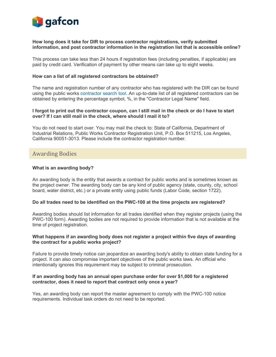

#### **How long does it take for DIR to process contractor registrations, verify submitted information, and post contractor information in the registration list that is accessible online?**

This process can take less than 24 hours if registration fees (including penalties, if applicable) are paid by credit card. Verification of payment by other means can take up to eight weeks.

#### **How can a list of all registered contractors be obtained?**

The name and registration number of any contractor who has registered with the DIR can be found using the public works contractor search tool. An up-to-date list of all registered contractors can be obtained by entering the percentage symbol, %, in the "Contractor Legal Name" field.

#### **I forgot to print out the contractor coupon, can I still mail in the check or do I have to start over? If I can still mail in the check, where should I mail it to?**

You do not need to start over. You may mail the check to: State of California, Department of Industrial Relations, Public Works Contractor Registration Unit, P.O. Box 511215, Los Angeles, California 90051-3013. Please include the contractor registration number.

#### Awarding Bodies

#### **What is an awarding body?**

An awarding body is the entity that awards a contract for public works and is sometimes known as the project owner. The awarding body can be any kind of public agency (state, county, city, school board, water district, etc.) or a private entity using public funds (Labor Code, section 1722).

#### **Do all trades need to be identified on the PWC-100 at the time projects are registered?**

Awarding bodies should list information for all trades identified when they register projects (using the PWC-100 form). Awarding bodies are not required to provide information that is not available at the time of project registration.

#### **What happens if an awarding body does not register a project within five days of awarding the contract for a public works project?**

Failure to provide timely notice can jeopardize an awarding body's ability to obtain state funding for a project. It can also compromise important objectives of the public works laws. An official who intentionally ignores this requirement may be subject to criminal prosecution.

#### **If an awarding body has an annual open purchase order for over \$1,000 for a registered contractor, does it need to report that contract only once a year?**

Yes, an awarding body can report the master agreement to comply with the PWC-100 notice requirements. Individual task orders do not need to be reported.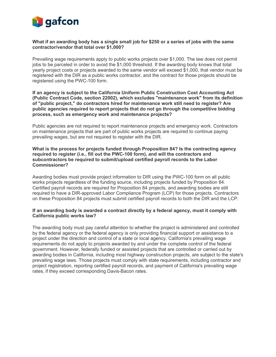

#### **What if an awarding body has a single small job for \$250 or a series of jobs with the same contractor/vendor that total over \$1,000?**

Prevailing wage requirements apply to public works projects over \$1,000. The law does not permit jobs to be parceled in order to avoid the \$1,000 threshold. If the awarding body knows that total yearly project costs or projects awarded to the same vendor will exceed \$1,000, that vendor must be registered with the DIR as a public works contractor, and the contract for those projects should be registered using the PWC-100 form.

#### **If an agency is subject to the California Uniform Public Construction Cost Accounting Act (Public Contract Code, section 22002), which excludes "maintenance work" from its definition of "public project," do contractors hired for maintenance work still need to register? Are public agencies required to report projects that do not go through the competitive bidding process, such as emergency work and maintenance projects?**

Public agencies are not required to report maintenance projects and emergency work. Contractors on maintenance projects that are part of public works projects are required to continue paying prevailing wages, but are not required to register with the DIR.

#### **What is the process for projects funded through Proposition 84? Is the contracting agency required to register (i.e., fill out the PWC-100 form), and will the contractors and subcontractors be required to submit/upload certified payroll records to the Labor Commissioner?**

Awarding bodies must provide project information to DIR using the PWC-100 form on all public works projects regardless of the funding source, including projects funded by Proposition 84. Certified payroll records are required for Proposition 84 projects, and awarding bodies are still required to have a DIR-approved Labor Compliance Program (LCP) for those projects. Contractors on these Proposition 84 projects must submit certified payroll records to both the DIR and the LCP.

#### **If an awarding body is awarded a contract directly by a federal agency, must it comply with California public works law?**

The awarding body must pay careful attention to whether the project is administered and controlled by the federal agency or the federal agency is only providing financial support or assistance to a project under the direction and control of a state or local agency. California's prevailing wage requirements do not apply to projects awarded by and under the complete control of the federal government. However, federally funded or assisted projects that are controlled or carried out by awarding bodies in California, including most highway construction projects, are subject to the state's prevailing wage laws. Those projects must comply with state requirements, including contractor and project registration, reporting certified payroll records, and payment of California's prevailing wage rates, if they exceed corresponding Davis-Bacon rates.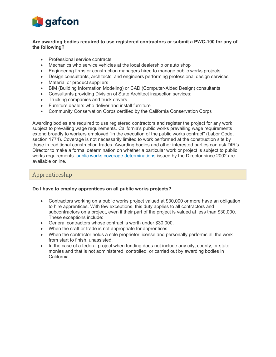

#### **Are awarding bodies required to use registered contractors or submit a PWC-100 for any of the following?**

- Professional service contracts
- Mechanics who service vehicles at the local dealership or auto shop
- Engineering firms or construction managers hired to manage public works projects
- Design consultants, architects, and engineers performing professional design services
- Material or product suppliers
- BIM (Building Information Modeling) or CAD (Computer-Aided Design) consultants
- Consultants providing Division of State Architect inspection services;
- Trucking companies and truck drivers
- Furniture dealers who deliver and install furniture
- Community Conservation Corps certified by the California Conservation Corps

Awarding bodies are required to use registered contractors and register the project for any work subject to prevailing wage requirements. California's public works prevailing wage requirements extend broadly to workers employed "in the execution of the public works contract" (Labor Code, section 1774). Coverage is not necessarily limited to work performed at the construction site by those in traditional construction trades. Awarding bodies and other interested parties can ask DIR's Director to make a formal determination on whether a particular work or project is subject to public works requirements. public works coverage determinations issued by the Director since 2002 are available online.

## Apprenticeship

#### **Do I have to employ apprentices on all public works projects?**

- Contractors working on a public works project valued at \$30,000 or more have an obligation to hire apprentices. With few exceptions, this duty applies to all contractors and subcontractors on a project, even if their part of the project is valued at less than \$30,000. These exceptions include:
- General contractors whose contract is worth under \$30,000.
- When the craft or trade is not appropriate for apprentices.
- When the contractor holds a sole proprietor license and personally performs all the work from start to finish, unassisted.
- In the case of a federal project when funding does not include any city, county, or state monies and that is not administered, controlled, or carried out by awarding bodies in California.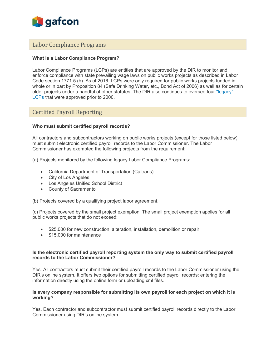

#### Labor Compliance Programs

#### **What is a Labor Compliance Program?**

Labor Compliance Programs (LCPs) are entities that are approved by the DIR to monitor and enforce compliance with state prevailing wage laws on public works projects as described in Labor Code section 1771.5 (b). As of 2016, LCPs were only required for public works projects funded in whole or in part by Proposition 84 (Safe Drinking Water, etc., Bond Act of 2006) as well as for certain older projects under a handful of other statutes. The DIR also continues to oversee four "legacy" LCPs that were approved prior to 2000.

## Certified Payroll Reporting

#### **Who must submit certified payroll records?**

All contractors and subcontractors working on public works projects (except for those listed below) must submit electronic certified payroll records to the Labor Commissioner. The Labor Commissioner has exempted the following projects from the requirement:

(a) Projects monitored by the following legacy Labor Compliance Programs:

- California Department of Transportation (Caltrans)
- City of Los Angeles
- Los Angeles Unified School District
- County of Sacramento

(b) Projects covered by a qualifying project labor agreement.

(c) Projects covered by the small project exemption. The small project exemption applies for all public works projects that do not exceed:

- \$25,000 for new construction, alteration, installation, demolition or repair
- \$15,000 for maintenance

#### **Is the electronic certified payroll reporting system the only way to submit certified payroll records to the Labor Commissioner?**

Yes. All contractors must submit their certified payroll records to the Labor Commissioner using the DIR's online system. It offers two options for submitting certified payroll records: entering the information directly using the online form or uploading xml files.

#### **Is every company responsible for submitting its own payroll for each project on which it is working?**

Yes. Each contractor and subcontractor must submit certified payroll records directly to the Labor Commissioner using DIR's online system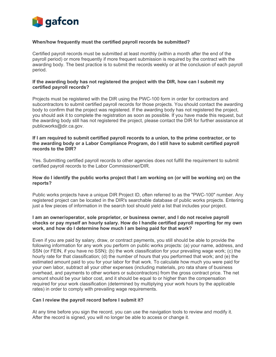

#### **When/how frequently must the certified payroll records be submitted?**

Certified payroll records must be submitted at least monthly (within a month after the end of the payroll period) or more frequently if more frequent submission is required by the contract with the awarding body. The best practice is to submit the records weekly or at the conclusion of each payroll period.

#### **If the awarding body has not registered the project with the DIR, how can I submit my certified payroll records?**

Projects must be registered with the DIR using the PWC-100 form in order for contractors and subcontractors to submit certified payroll records for those projects. You should contact the awarding body to confirm that the project was registered. If the awarding body has not registered the project, you should ask it to complete the registration as soon as possible. If you have made this request, but the awarding body still has not registered the project, please contact the DIR for further assistance at [publicworks@dir.ca.gov.](mailto:publicworks@dir.ca.gov)

#### **If I am required to submit certified payroll records to a union, to the prime contractor, or to the awarding body or a Labor Compliance Program, do I still have to submit certified payroll records to the DIR?**

Yes. Submitting certified payroll records to other agencies does not fulfill the requirement to submit certified payroll records to the Labor Commissioner/DIR.

#### **How do I identify the public works project that I am working on (or will be working on) on the reports?**

Public works projects have a unique DIR Project ID, often referred to as the "PWC-100" number. Any registered project can be located in the DIR's searchable database of public works projects. Entering just a few pieces of information in the search tool should yield a list that includes your project.

#### **I am an owner/operator, sole proprietor, or business owner, and I do not receive payroll checks or pay myself an hourly salary. How do I handle certified payroll reporting for my own work, and how do I determine how much I am being paid for that work?**

Even if you are paid by salary, draw, or contract payments, you still should be able to provide the following information for any work you perform on public works projects: (a) your name, address, and SSN (or FEIN, if you have no SSN); (b) the work classification for your prevailing wage work; (c) the hourly rate for that classification; (d) the number of hours that you performed that work; and (e) the estimated amount paid to you for your labor for that work. To calculate how much you were paid for your own labor, subtract all your other expenses (including materials, pro rata share of business overhead, and payments to other workers or subcontractors) from the gross contract price. The net amount should be your labor cost, and it should be equal to or higher than the compensation required for your work classification (determined by multiplying your work hours by the applicable rates) in order to comply with prevailing wage requirements.

#### **Can I review the payroll record before I submit it?**

At any time before you sign the record, you can use the navigation tools to review and modify it. After the record is signed, you will no longer be able to access or change it.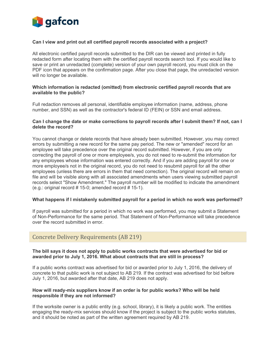

#### **Can I view and print out all certified payroll records associated with a project?**

All electronic certified payroll records submitted to the DIR can be viewed and printed in fully redacted form after locating them with the certified payroll records search tool. If you would like to save or print an unredacted (complete) version of your own payroll record, you must click on the PDF icon that appears on the confirmation page. After you close that page, the unredacted version will no longer be available.

#### **Which information is redacted (omitted) from electronic certified payroll records that are available to the public?**

Full redaction removes all personal, identifiable employee information (name, address, phone number, and SSN) as well as the contractor's federal ID (FEIN) or SSN and email address.

#### **Can I change the date or make corrections to payroll records after I submit them? If not, can I delete the record?**

You cannot change or delete records that have already been submitted. However, you may correct errors by submitting a new record for the same pay period. The new or "amended" record for an employee will take precedence over the original record submitted. However, if you are only correcting the payroll of one or more employee/s, you do not need to re-submit the information for any employees whose information was entered correctly. And if you are adding payroll for one or more employee/s not in the original record, you do not need to resubmit payroll for all the other employees (unless there are errors in them that need correction). The original record will remain on file and will be visible along with all associated amendments when users viewing submitted payroll records select "Show Amendment." The payroll number will be modified to indicate the amendment  $(e.g.:$  original record  $#$  15-0; amended record  $#$  15-1).

#### **What happens if I mistakenly submitted payroll for a period in which no work was performed?**

If payroll was submitted for a period in which no work was performed, you may submit a Statement of Non-Performance for the same period. That Statement of Non-Performance will take precedence over the record submitted in error.

#### Concrete Delivery Requirements (AB 219)

#### **The bill says it does not apply to public works contracts that were advertised for bid or awarded prior to July 1, 2016. What about contracts that are still in process?**

If a public works contract was advertised for bid or awarded prior to July 1, 2016, the delivery of concrete to that public work is not subject to AB 219. If the contract was advertised for bid before July 1, 2016, but awarded after that date, AB 219 does not apply.

#### **How will ready-mix suppliers know if an order is for public works? Who will be held responsible if they are not informed?**

If the worksite owner is a public entity (e.g. school, library), it is likely a public work. The entities engaging the ready-mix services should know if the project is subject to the public works statutes, and it should be noted as part of the written agreement required by AB 219.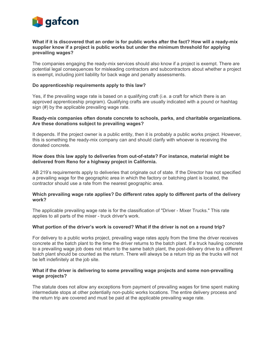

#### **What if it is discovered that an order is for public works after the fact? How will a ready-mix supplier know if a project is public works but under the minimum threshold for applying prevailing wages?**

The companies engaging the ready-mix services should also know if a project is exempt. There are potential legal consequences for misleading contractors and subcontractors about whether a project is exempt, including joint liability for back wage and penalty assessments.

#### **Do apprenticeship requirements apply to this law?**

Yes, if the prevailing wage rate is based on a qualifying craft (i.e. a craft for which there is an approved apprenticeship program). Qualifying crafts are usually indicated with a pound or hashtag sign (#) by the applicable prevailing wage rate.

#### **Ready-mix companies often donate concrete to schools, parks, and charitable organizations. Are these donations subject to prevailing wages?**

It depends. If the project owner is a public entity, then it is probably a public works project. However, this is something the ready-mix company can and should clarify with whoever is receiving the donated concrete.

#### **How does this law apply to deliveries from out-of-state? For instance, material might be delivered from Reno for a highway project in California.**

AB 219's requirements apply to deliveries that originate out of state. If the Director has not specified a prevailing wage for the geographic area in which the factory or batching plant is located, the contractor should use a rate from the nearest geographic area.

#### **Which prevailing wage rate applies? Do different rates apply to different parts of the delivery work?**

The applicable prevailing wage rate is for the classification of "Driver - Mixer Trucks." This rate applies to all parts of the mixer - truck driver's work.

#### **What portion of the driver's work is covered? What if the driver is not on a round trip?**

For delivery to a public works project, prevailing wage rates apply from the time the driver receives concrete at the batch plant to the time the driver returns to the batch plant. If a truck hauling concrete to a prevailing wage job does not return to the same batch plant, the post-delivery drive to a different batch plant should be counted as the return. There will always be a return trip as the trucks will not be left indefinitely at the job site.

#### **What if the driver is delivering to some prevailing wage projects and some non-prevailing wage projects?**

The statute does not allow any exceptions from payment of prevailing wages for time spent making intermediate stops at other potentially non-public works locations. The entire delivery process and the return trip are covered and must be paid at the applicable prevailing wage rate.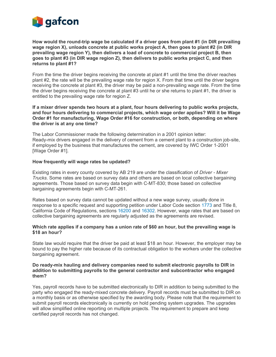

**How would the round-trip wage be calculated if a driver goes from plant #1 (in DIR prevailing wage region X), unloads concrete at public works project A, then goes to plant #2 (in DIR prevailing wage region Y), then delivers a load of concrete to commercial project B, then goes to plant #3 (in DIR wage region Z), then delivers to public works project C, and then returns to plant #1?**

From the time the driver begins receiving the concrete at plant #1 until the time the driver reaches plant #2, the rate will be the prevailing wage rate for region X. From that time until the driver begins receiving the concrete at plant #3, the driver may be paid a non-prevailing wage rate. From the time the driver begins receiving the concrete at plant #3 until he or she returns to plant #1, the driver is entitled to the prevailing wage rate for region Z.

#### **If a mixer driver spends two hours at a plant, four hours delivering to public works projects, and four hours delivering to commercial projects, which wage order applies? Will it be Wage Order #1 for manufacturing, Wage Order #16 for construction, or both, depending on where the driver is at any one time?**

The Labor Commissioner made the following determination in a 2001 opinion letter: Ready-mix drivers engaged in the delivery of cement from a cement plant to a construction job-site, if employed by the business that manufactures the cement, are covered by IWC Order 1-2001 [Wage Order #1].

#### **How frequently will wage rates be updated?**

Existing rates in every county covered by AB 219 are under the classification of *Driver - Mixer Trucks*. Some rates are based on survey data and others are based on local collective bargaining agreements. Those based on survey data begin with C-MT-830; those based on collective bargaining agreements begin with C-MT-261.

Rates based on survey data cannot be updated without a new wage survey, usually done in response to a specific request and supporting petition under Labor Code section 1773 and Title 8, California Code of Regulations, sections 16200 and 16302. However, wage rates that are based on collective bargaining agreements are regularly adjusted as the agreements are revised.

#### **Which rate applies if a company has a union rate of \$60 an hour, but the prevailing wage is \$18 an hour?**

State law would require that the driver be paid at least \$18 an hour. However, the employer may be bound to pay the higher rate because of its contractual obligation to the workers under the collective bargaining agreement.

#### **Do ready-mix hauling and delivery companies need to submit electronic payrolls to DIR in addition to submitting payrolls to the general contractor and subcontractor who engaged them?**

Yes, payroll records have to be submitted electronically to DIR in addition to being submitted to the party who engaged the ready-mixed concrete delivery. Payroll records must be submitted to DIR on a monthly basis or as otherwise specified by the awarding body. Please note that the requirement to submit payroll records electronically is currently on hold pending system upgrades. The upgrades will allow simplified online reporting on multiple projects. The requirement to prepare and keep certified payroll records has not changed.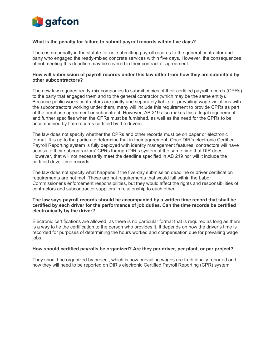

#### **What is the penalty for failure to submit payroll records within five days?**

There is no penalty in the statute for not submitting payroll records to the general contractor and party who engaged the ready-mixed concrete services within five days. However, the consequences of not meeting this deadline may be covered in their contract or agreement.

#### **How will submission of payroll records under this law differ from how they are submitted by other subcontractors?**

The new law requires ready-mix companies to submit copies of their certified payroll records (CPRs) to the party that engaged them and to the general contractor (which may be the same entity). Because public works contractors are jointly and separately liable for prevailing wage violations with the subcontractors working under them, many will include this requirement to provide CPRs as part of the purchase agreement or subcontract. However, AB 219 also makes this a legal requirement and further specifies when the CPRs must be furnished, as well as the need for the CPRs to be accompanied by time records certified by the drivers.

The law does not specify whether the CPRs and other records must be on paper or electronic format. It is up to the parties to determine that in their agreement. Once DIR's electronic Certified Payroll Reporting system is fully deployed with identity management features, contractors will have access to their subcontractors' CPRs through DIR's system at the same time that DIR does. However, that will not necessarily meet the deadline specified in AB 219 nor will it include the certified driver time records.

The law does not specify what happens if the five-day submission deadline or driver certification requirements are not met. These are not requirements that would fall within the Labor Commissioner's enforcement responsibilities, but they would affect the rights and responsibilities of contractors and subcontractor suppliers in relationship to each other.

#### **The law says payroll records should be accompanied by a written time record that shall be certified by each driver for the performance of job duties. Can the time records be certified electronically by the driver?**

Electronic certifications are allowed, as there is no particular format that is required as long as there is a way to tie the certification to the person who provides it. It depends on how the driver's time is recorded for purposes of determining the hours worked and compensation due for prevailing wage jobs.

#### **How should certified payrolls be organized? Are they per driver, per plant, or per project?**

They should be organized by project, which is how prevailing wages are traditionally reported and how they will need to be reported on DIR's electronic Certified Payroll Reporting (CPR) system.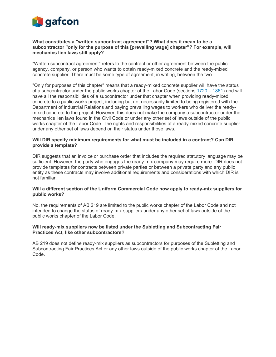

#### **What constitutes a "written subcontract agreement"? What does it mean to be a subcontractor "only for the purpose of this [prevailing wage] chapter"? For example, will mechanics lien laws still apply?**

"Written subcontract agreement" refers to the contract or other agreement between the public agency, company, or person who wants to obtain ready-mixed concrete and the ready-mixed concrete supplier. There must be some type of agreement, in writing, between the two.

"Only for purposes of this chapter" means that a ready-mixed concrete supplier will have the status of a subcontractor under the public works chapter of the Labor Code (sections 1720 – 1861) and will have all the responsibilities of a subcontractor under that chapter when providing ready-mixed concrete to a public works project, including but not necessarily limited to being registered with the Department of Industrial Relations and paying prevailing wages to workers who deliver the readymixed concrete to the project. However, this does not make the company a subcontractor under the mechanics lien laws found in the Civil Code or under any other set of laws outside of the public works chapter of the Labor Code. The rights and responsibilities of a ready-mixed concrete supplier under any other set of laws depend on their status under those laws.

#### **Will DIR specify minimum requirements for what must be included in a contract? Can DIR provide a template?**

DIR suggests that an invoice or purchase order that includes the required statutory language may be sufficient. However, the party who engages the ready-mix company may require more. DIR does not provide templates for contracts between private parties or between a private party and any public entity as these contracts may involve additional requirements and considerations with which DIR is not familiar.

#### **Will a different section of the Uniform Commercial Code now apply to ready-mix suppliers for public works?**

No, the requirements of AB 219 are limited to the public works chapter of the Labor Code and not intended to change the status of ready-mix suppliers under any other set of laws outside of the public works chapter of the Labor Code.

#### **Will ready-mix suppliers now be listed under the Subletting and Subcontracting Fair Practices Act, like other subcontractors?**

AB 219 does not define ready-mix suppliers as subcontractors for purposes of the Subletting and Subcontracting Fair Practices Act or any other laws outside of the public works chapter of the Labor Code.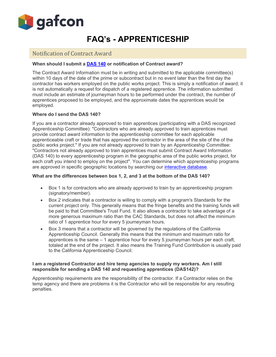

# **FAQ's - APPRENTICESHIP**

## Notification of Contract Award

#### **When should I submit a DAS 140 or notification of Contract award?**

The Contract Award Information must be in writing and submitted to the applicable committee(s) within 10 days of the date of the prime or subcontract but in no event later than the first day the contractor has workers employed on the public works project. This is simply a notification of award; it is not automatically a request for dispatch of a registered apprentice. The information submitted must include an estimate of journeyman hours to be performed under the contract, the number of apprentices proposed to be employed, and the approximate dates the apprentices would be employed.

#### **Where do I send the DAS 140?**

If you are a contractor already approved to train apprentices (participating with a DAS recognized Apprenticeship Committee): "Contractors who are already approved to train apprentices must provide contract award information to the apprenticeship committee for each applicable apprenticeable craft or trade that has approved the contractor in the area of the site of the of the public works project." If you are not already approved to train by an Apprenticeship Committee: "Contractors not already approved to train apprentices must submit Contract Award Information (DAS 140) to every apprenticeship program in the geographic area of the public works project, for each craft you intend to employ on the project". You can determine which apprenticeship programs are approved in specific geographic locations by searching our interactive database.

#### **What are the differences between box 1, 2, and 3 at the bottom of the DAS 140?**

- Box 1 is for contractors who are already approved to train by an apprenticeship program (signatory/member).
- Box 2 indicates that a contractor is willing to comply with a program's Standards for the current project only. This generally means that the fringe benefits and the training funds will be paid to that Committee's Trust Fund. It also allows a contractor to take advantage of a more generous maximum ratio than the CAC Standards, but does not affect the minimum ratio of 1 apprentice hour for every 5 journeyman hours.
- Box 3 means that a contractor will be governed by the regulations of the California Apprenticeship Council. Generally this means that the minimum and maximum ratio for apprentices is the same  $-1$  apprentice hour for every 5 journeyman hours per each craft, totaled at the end of the project. It also means the Training Fund Contribution is usually paid to the California Apprenticeship Council.

#### **I am a registered Contractor and hire temp agencies to supply my workers. Am I still responsible for sending a DAS 140 and requesting apprentices (DAS142)?**

Apprenticeship requirements are the responsibility of the contractor. If a Contractor relies on the temp agency and there are problems it is the Contractor who will be responsible for any resulting penalties.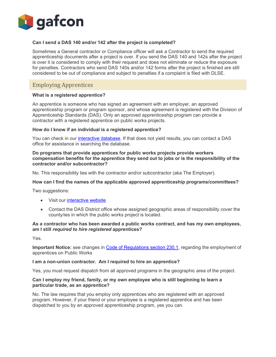

#### **Can I send a DAS 140 and/or 142 after the project is completed?**

Sometimes a General contractor or Compliance officer will ask a Contractor to send the required apprenticeship documents after a project is over. If you send the DAS 140 and 142s after the project is over it is considered to comply with their request and does not eliminate or reduce the exposure for penalties. Contractors who send DAS 140s and/or 142 forms after the project is finished are still considered to be out of compliance and subject to penalties if a complaint is filed with DLSE.

## Employing Apprentices

#### **What is a registered apprentice?**

An apprentice is someone who has signed an agreement with an employer, an approved apprenticeship program or program sponsor, and whose agreement is registered with the Division of Apprenticeship Standards (DAS). Only an approved apprenticeship program can provide a contractor with a registered apprentice on public works projects.

#### **How do I know if an individual is a registered apprentice?**

You can check in our *interactive database*. If that does not yield results, you can contact a DAS office for assistance in searching the database.

#### **Do programs that provide apprentices for public works projects provide workers compensation benefits for the apprentice they send out to jobs or is the responsibility of the contractor and/or subcontractor?**

No. This responsibility lies with the contractor and/or subcontractor (aka The Employer).

#### **How can I find the names of the applicable approved apprenticeship programs/committees?**

Two suggestions:

- Visit our interactive website
- Contact the DAS District office whose assigned geographic areas of responsibility cover the county/ies in which the public works project is located.

#### **As a contractor who has been awarded a public works contract, and has my own employees, am I still** *required to hire registered* **apprentices?**

Yes.

**Important Notice:** see changes in Code of Regulations section 230.1, regarding the employment of apprentices on Public Works

#### **I am a non-union contractor. Am I required to hire an apprentice?**

Yes, you must request dispatch from all approved programs in the geographic area of the project.

#### **Can I employ my friend, family, or my own employee who is still beginning to learn a particular trade, as an apprentice?**

No. The law requires that you employ only apprentices who are registered with an approved program. However, if your friend or your employee is a registered apprentice and has been dispatched to you by an approved apprenticeship program, yes you can.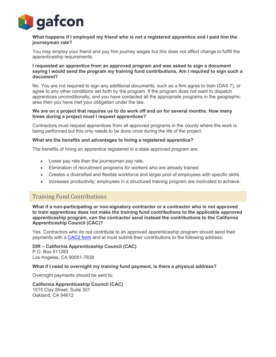

#### **What happens if I employed my friend who is not a registered apprentice and I paid him the journeyman rate?**

You may employ your friend and pay him journey wages but this does not affect change to fulfill the apprenticeship requirements.

#### **I requested an apprentice from an approved program and was asked to sign a document saying I would send the program my training fund contributions. Am I required to sign such a document?**

No. You are not required to sign any additional documents, such as a firm agree to train (DAS 7), or agree to any other conditions set forth by the program. If the program does not want to dispatch apprentices unconditionally, and you have contacted all the appropriate programs in the geographic area then you have met your obligation under the law.

#### **We are on a project that requires us to do work off and on for several months. How many times during a project must I request apprentices?**

Contractors must request apprentices from all approved programs in the county where the work is being performed but this only needs to be done once during the life of the project.

#### **What are the benefits and advantages to hiring a registered apprentice?**

The benefits of hiring an apprentice registered in a state approved program are:

- Lower pay rate than the journeyman pay rate.
- Elimination of recruitment programs for workers who are already trained.
- Creates a diversified and flexible workforce and larger pool of employees with specific skills.
- Increases productivity; employees in a structured training program are motivated to achieve.

## Training Fund Contributions

**What if a non-participating or non-signatory contractor or a contractor who is not approved to train apprentices does not make the training fund contributions to the applicable approved apprenticeship program, can the contractor send instead the contributions to the California Apprenticeship Council (CAC)?**

Yes. Contractors who do not contribute to an approved apprenticeship program should send their payments with a CAC2 form and at must submit their contributions to the following address:

**DIR – California Apprenticeship Council (CAC)** P.O. Box 511283

Los Angeles, CA 90051-7838

#### **What if I need to overnight my training fund payment, is there a physical address?**

Overnight payments should be sent to:

**California Apprenticeship Council (CAC)** 1515 Clay Street, Suite 301 Oakland, CA 94612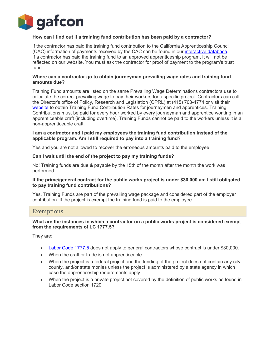

#### **How can I find out if a training fund contribution has been paid by a contractor?**

If the contractor has paid the training fund contribution to the California Apprenticeship Council (CAC) information of payments received by the CAC can be found in our interactive database. If a contractor has paid the training fund to an approved apprenticeship program, it will not be reflected on our website. You must ask the contractor for proof of payment to the program's trust fund.

#### **Where can a contractor go to obtain journeyman prevailing wage rates and training fund amounts due?**

Training Fund amounts are listed on the same Prevailing Wage Determinations contractors use to calculate the correct prevailing wage to pay their workers for a specific project. Contractors can call the Director's office of Policy, Research and Legislation (OPRL) at (415) 703-4774 or visit their website to obtain Training Fund Contribution Rates for journeymen and apprentices. Training Contributions must be paid for every hour worked by every journeyman and apprentice working in an apprenticeable craft (including overtime). Training Funds cannot be paid to the workers unless it is a non-apprenticeable craft.

#### **I am a contractor and I paid my employees the training fund contribution instead of the applicable program. Am I still required to pay into a training fund?**

Yes and you are not allowed to recover the erroneous amounts paid to the employee.

#### **Can I wait until the end of the project to pay my training funds?**

No! Training funds are due & payable by the 15th of the month after the month the work was performed.

#### **If the prime/general contract for the public works project is under \$30,000 am I still obligated to pay training fund contributions?**

Yes. Training Funds are part of the prevailing wage package and considered part of the employer contribution. If the project is exempt the training fund is paid to the employee.

#### Exemptions

#### **What are the instances in which a contractor on a public works project is considered exempt from the requirements of LC 1777.5?**

They are:

- Labor Code 1777.5 does not apply to general contractors whose contract is under \$30,000.
- When the craft or trade is not apprenticeable.
- When the project is a federal project and the funding of the project does not contain any city, county, and/or state monies unless the project is administered by a state agency in which case the apprenticeship requirements apply.
- When the project is a private project not covered by the definition of public works as found in Labor Code section 1720.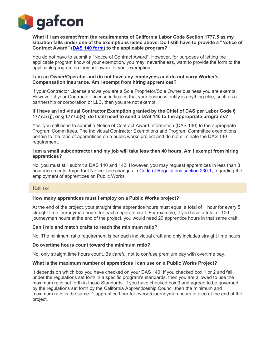

**What if I am exempt from the requirements of California Labor Code Section 1777.5 as my situation falls under one of the exemptions listed above. Do I still have to provide a "Notice of Contract Award" (DAS 140 form) to the applicable program?**

You do not have to submit a "Notice of Contract Award". However, for purposes of letting the applicable program know of your exemption, you may, nevertheless, want to provide the form to the applicable program so they are aware of your exemption.

#### **I am an Owner/Operator and do not have any employees and do not carry Worker's Compensation Insurance. Am I exempt from hiring apprentices?**

If your Contractor License shows you are a Sole Proprietor/Sole Owner business you are exempt. However, if your Contractor License indicates that your business entity is anything else, such as a partnership or corporation or LLC, then you are not exempt.

#### **If I have an Individual Contractor Exemption granted by the Chief of DAS per Labor Code § 1777.5 (j), or § 1777.5(k), do I still need to send a DAS 140 to the appropriate programs?**

Yes, you still need to submit a Notice of Contract Award Information (DAS 140) to the appropriate Program Committees. The Individual Contractor Exemptions and Program Committee exemptions pertain to the ratio of apprentices on a public works project and do not eliminate the DAS 140 requirement.

#### **I am a small subcontractor and my job will take less than 40 hours. Am I exempt from hiring apprentices?**

No, you must still submit a DAS 140 and 142. However, you may request apprentices in less than 8 hour increments. Important Notice: see changes in Code of Regulations section 230.1, regarding the employment of apprentices on Public Works

#### Ratios

#### **How many apprentices must I employ on a Public Works project?**

At the end of the project, your straight time apprentice hours must equal a total of 1 hour for every 5 straight time journeyman hours for each separate craft. For example, if you have a total of 100 journeyman hours at the end of the project, you would need 20 apprentice hours in that same craft.

#### **Can I mix and match crafts to reach the minimum ratio?**

No. The minimum ratio requirement is per each individual craft and only includes straight time hours.

#### **Do overtime hours count toward the minimum ratio?**

No, only straight time hours count. Be careful not to confuse premium pay with overtime pay.

#### **What is the maximum number of apprentices I can use on a Public Works Project?**

It depends on which box you have checked on your DAS 140. If you checked box 1 or 2 and fall under the regulations set forth in a specific program's standards, then you are allowed to use the maximum ratio set forth in those Standards. If you have checked box 3 and agreed to be governed by the regulations set forth by the California Apprenticeship Council then the minimum and maximum ratio is the same: 1 apprentice hour for every 5 journeyman hours totaled at the end of the project.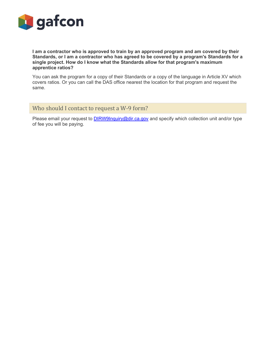

**I am a contractor who is approved to train by an approved program and am covered by their Standards, or I am a contractor who has agreed to be covered by a program's Standards for a single project. How do I know what the Standards allow for that program's maximum apprentice ratios?**

You can ask the program for a copy of their Standards or a copy of the language in Article XV which covers ratios. Or you can call the DAS office nearest the location for that program and request the same.

## Who should I contact to request a W-9 form?

Please email your request to **DIRW9Inquiry@dir.ca.gov** and specify which collection unit and/or type of fee you will be paying.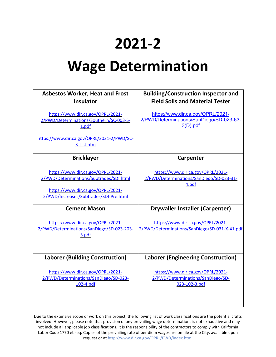# **2021-2**

# **Wage Determination**

| <b>Asbestos Worker, Heat and Frost</b><br><b>Insulator</b>                              | <b>Building/Construction Inspector and</b><br><b>Field Soils and Material Tester</b>      |
|-----------------------------------------------------------------------------------------|-------------------------------------------------------------------------------------------|
| https://www.dir.ca.gov/OPRL/2021-<br>2/PWD/Determinations/Southern/SC-003-5-<br>1.pdf   | https://www.dir.ca.gov/OPRL/2021-<br>2/PWD/Determinations/SanDiego/SD-023-63-<br>3(D).pdf |
| https://www.dir.ca.gov/OPRL/2021-2/PWD/SC-<br>3-List.htm                                |                                                                                           |
| <b>Bricklayer</b>                                                                       | Carpenter                                                                                 |
| https://www.dir.ca.gov/OPRL/2021-<br>2/PWD/Determinations/Subtrades/SDI.html            | https://www.dir.ca.gov/OPRL/2021-<br>2/PWD/Determinations/SanDiego/SD-023-31-<br>4.pdf    |
| https://www.dir.ca.gov/OPRL/2021-<br>2/PWD/Increases/Subtrades/SDI-Pre.html             |                                                                                           |
| <b>Cement Mason</b>                                                                     | <b>Drywaller Installer (Carpenter)</b>                                                    |
| https://www.dir.ca.gov/OPRL/2021-<br>2/PWD/Determinations/SanDiego/SD-023-203-<br>3.pdf | https://www.dir.ca.gov/OPRL/2021-<br>2/PWD/Determinations/SanDiego/SD-031-X-41.pdf        |
| <b>Laborer (Building Construction)</b>                                                  | <b>Laborer (Engineering Construction)</b>                                                 |
| https://www.dir.ca.gov/OPRL/2021-<br>2/PWD/Determinations/SanDiego/SD-023-<br>102-4.pdf | https://www.dir.ca.gov/OPRL/2021-<br>2/PWD/Determinations/SanDiego/SD-<br>023-102-3.pdf   |

Due to the extensive scope of work on this project, the following list of work classifications are the potential crafts involved. However, please note that provision of any prevailing wage determinations is not exhaustive and may not include all applicable job classifications. It is the responsibility of the contractors to comply with California Labor Code 1770 et seq. Copies of the prevailing rate of per diem wages are on file at the City, available upon request or at [http://www.dir.ca.gov/OPRL/PWD/index.htm.](http://www.dir.ca.gov/OPRL/PWD/index.htm)